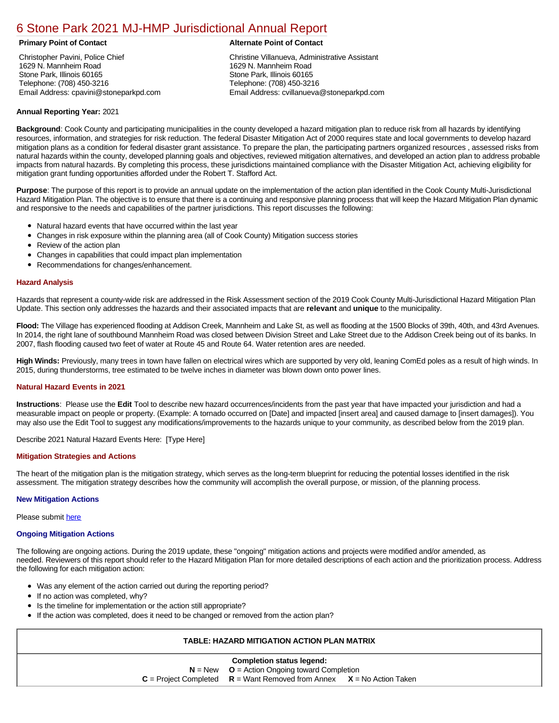# [6 Stone Park 2021 MJ-HMP Jurisdictional Annual Report](https://stonepark.isc-cemp.com/Cemp/Details?id=8322925)

Christopher Pavini, Police Chief 1629 N. Mannheim Road Stone Park, Illinois 60165 Telephone: (708) 450-3216 Email Address: cpavini@stoneparkpd.com

# **Primary Point of Contact Alternate Point of Contact**

Christine Villanueva, Administrative Assistant 1629 N. Mannheim Road Stone Park, Illinois 60165 Telephone: (708) 450-3216 Email Address: cvillanueva@stoneparkpd.com

## **Annual Reporting Year:** 2021

**Background**: Cook County and participating municipalities in the county developed a hazard mitigation plan to reduce risk from all hazards by identifying resources, information, and strategies for risk reduction. The federal Disaster Mitigation Act of 2000 requires state and local governments to develop hazard mitigation plans as a condition for federal disaster grant assistance. To prepare the plan, the participating partners organized resources , assessed risks from natural hazards within the county, developed planning goals and objectives, reviewed mitigation alternatives, and developed an action plan to address probable impacts from natural hazards. By completing this process, these jurisdictions maintained compliance with the Disaster Mitigation Act, achieving eligibility for mitigation grant funding opportunities afforded under the Robert T. Stafford Act.

**Purpose**: The purpose of this report is to provide an annual update on the implementation of the action plan identified in the Cook County Multi-Jurisdictional Hazard Mitigation Plan. The objective is to ensure that there is a continuing and responsive planning process that will keep the Hazard Mitigation Plan dynamic and responsive to the needs and capabilities of the partner jurisdictions. This report discusses the following:

- Natural hazard events that have occurred within the last year
- $\bullet$ Changes in risk exposure within the planning area (all of Cook County) Mitigation success stories
- Review of the action plan  $\bullet$
- $\bullet$ Changes in capabilities that could impact plan implementation
- Recommendations for changes/enhancement.  $\bullet$

#### **Hazard Analysis**

Hazards that represent a county-wide risk are addressed in the Risk Assessment section of the 2019 Cook County Multi-Jurisdictional Hazard Mitigation Plan Update. This section only addresses the hazards and their associated impacts that are **relevant** and **unique** to the municipality.

**Flood:** The Village has experienced flooding at Addison Creek, Mannheim and Lake St, as well as flooding at the 1500 Blocks of 39th, 40th, and 43rd Avenues. In 2014, the right lane of southbound Mannheim Road was closed between Division Street and Lake Street due to the Addison Creek being out of its banks. In 2007, flash flooding caused two feet of water at Route 45 and Route 64. Water retention ares are needed.

**High Winds:** Previously, many trees in town have fallen on electrical wires which are supported by very old, leaning ComEd poles as a result of high winds. In 2015, during thunderstorms, tree estimated to be twelve inches in diameter was blown down onto power lines.

## **Natural Hazard Events in 2021**

**Instructions**: Please use the **Edit** Tool to describe new hazard occurrences/incidents from the past year that have impacted your jurisdiction and had a measurable impact on people or property. (Example: A tornado occurred on [Date] and impacted [insert area] and caused damage to [insert damages]). You may also use the Edit Tool to suggest any modifications/improvements to the hazards unique to your community, as described below from the 2019 plan.

Describe 2021 Natural Hazard Events Here: [Type Here]

## **Mitigation Strategies and Actions**

The heart of the mitigation plan is the mitigation strategy, which serves as the long-term blueprint for reducing the potential losses identified in the risk assessment. The mitigation strategy describes how the community will accomplish the overall purpose, or mission, of the planning process.

#### **New Mitigation Actions**

Please submit [here](https://integratedsolutions.wufoo.com/forms/mg21jvf0jn639o/)

#### **Ongoing Mitigation Actions**

The following are ongoing actions. During the 2019 update, these "ongoing" mitigation actions and projects were modified and/or amended, as needed. Reviewers of this report should refer to the Hazard Mitigation Plan for more detailed descriptions of each action and the prioritization process. Address the following for each mitigation action:

- Was any element of the action carried out during the reporting period?
- If no action was completed, why?
- **•** Is the timeline for implementation or the action still appropriate?
- If the action was completed, does it need to be changed or removed from the action plan?

# **TABLE: HAZARD MITIGATION ACTION PLAN MATRIX**

|                                                  | <b>Completion status legend:</b>                                            |  |  |  |  |
|--------------------------------------------------|-----------------------------------------------------------------------------|--|--|--|--|
| $N = New$ $Q =$ Action Ongoing toward Completion |                                                                             |  |  |  |  |
|                                                  | $C =$ Project Completed $R =$ Want Removed from Annex $X =$ No Action Taken |  |  |  |  |